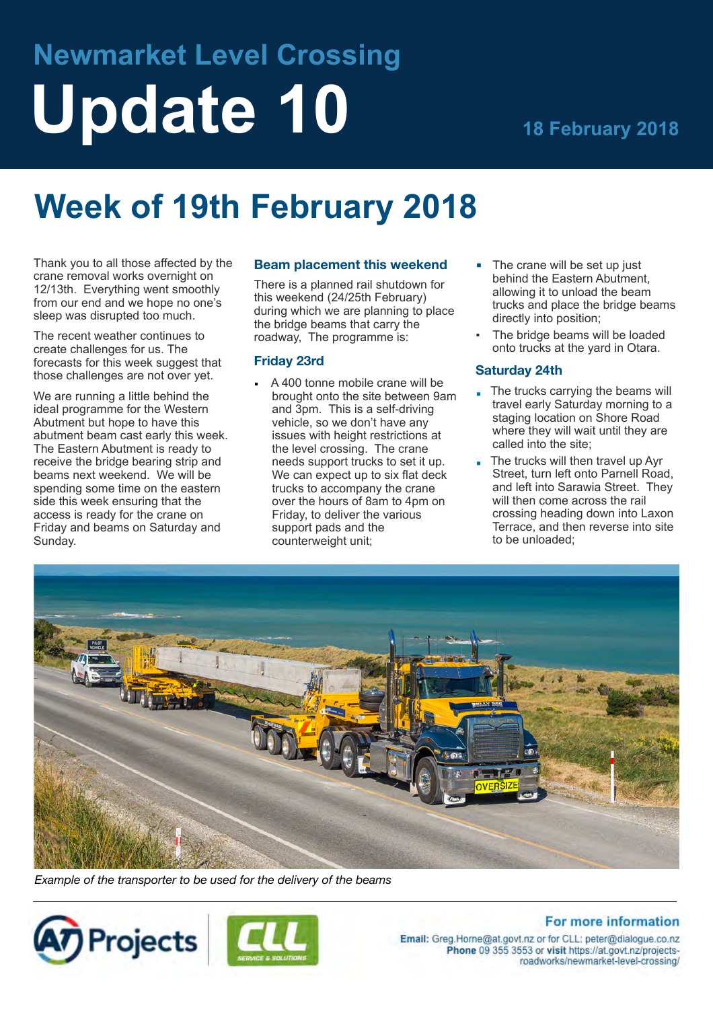# **Newmarket Level Crossing** Update 10 **18 February 2018**

## **Week of 19th February 2018**

Thank you to all those affected by the crane removal works overnight on 12/13th. Everything went smoothly from our end and we hope no one's sleep was disrupted too much.

The recent weather continues to create challenges for us. The forecasts for this week suggest that those challenges are not over yet.

We are running a little behind the ideal programme for the Western Abutment but hope to have this abutment beam cast early this week. The Eastern Abutment is ready to receive the bridge bearing strip and beams next weekend. We will be spending some time on the eastern side this week ensuring that the access is ready for the crane on Friday and beams on Saturday and Sunday.

### **Beam placement this weekend**

There is a planned rail shutdown for this weekend (24/25th February) during which we are planning to place the bridge beams that carry the roadway, The programme is:

#### **Friday 23rd**

- A 400 tonne mobile crane will be brought onto the site between 9am and 3pm. This is a self-driving vehicle, so we don't have any issues with height restrictions at the level crossing. The crane needs support trucks to set it up. We can expect up to six flat deck trucks to accompany the crane over the hours of 8am to 4pm on Friday, to deliver the various support pads and the counterweight unit;
- $\blacksquare$  The crane will be set up just behind the Eastern Abutment, allowing it to unload the beam trucks and place the bridge beams directly into position;
- The bridge beams will be loaded onto trucks at the yard in Otara.

### **Saturday 24th**

- The trucks carrying the beams will travel early Saturday morning to a staging location on Shore Road where they will wait until they are called into the site;
- $\blacksquare$  The trucks will then travel up Ayr Street, turn left onto Parnell Road, and left into Sarawia Street. They will then come across the rail crossing heading down into Laxon Terrace, and then reverse into site to be unloaded;



*Example of the transporter to be used for the delivery of the beams*





### **For more information**

Email: Greg.Horne@at.govt.nz or for CLL: peter@dialogue.co.nz Phone 09 355 3553 or visit https://at.govt.nz/projectsroadworks/newmarket-level-crossing/